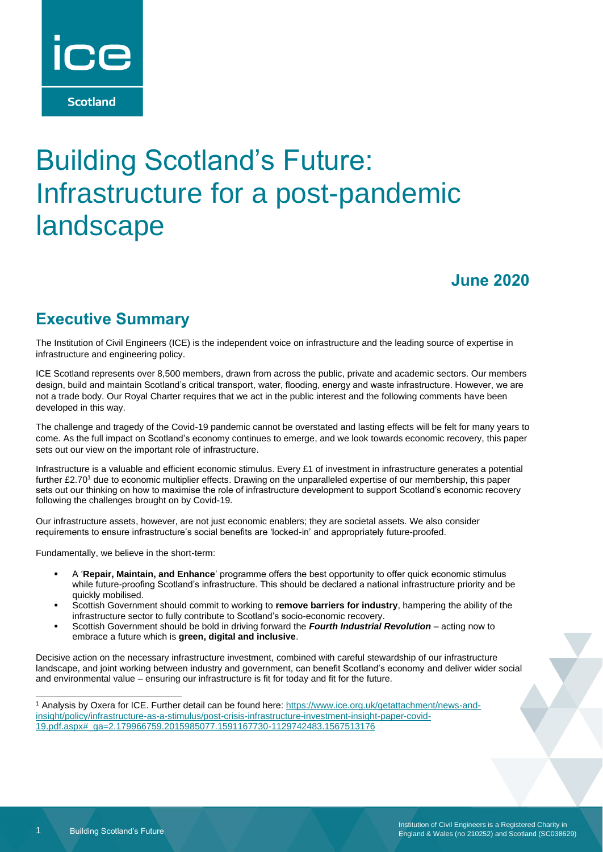

# Building Scotland's Future: Infrastructure for a post-pandemic landscape

### **June 2020**

### **Executive Summary**

The Institution of Civil Engineers (ICE) is the independent voice on infrastructure and the leading source of expertise in infrastructure and engineering policy.

ICE Scotland represents over 8,500 members, drawn from across the public, private and academic sectors. Our members design, build and maintain Scotland's critical transport, water, flooding, energy and waste infrastructure. However, we are not a trade body. Our Royal Charter requires that we act in the public interest and the following comments have been developed in this way.

The challenge and tragedy of the Covid-19 pandemic cannot be overstated and lasting effects will be felt for many years to come. As the full impact on Scotland's economy continues to emerge, and we look towards economic recovery, this paper sets out our view on the important role of infrastructure.

Infrastructure is a valuable and efficient economic stimulus. Every £1 of investment in infrastructure generates a potential further £2.70<sup>1</sup> due to economic multiplier effects. Drawing on the unparalleled expertise of our membership, this paper sets out our thinking on how to maximise the role of infrastructure development to support Scotland's economic recovery following the challenges brought on by Covid-19.

Our infrastructure assets, however, are not just economic enablers; they are societal assets. We also consider requirements to ensure infrastructure's social benefits are 'locked-in' and appropriately future-proofed.

Fundamentally, we believe in the short-term:

- A '**Repair, Maintain, and Enhance**' programme offers the best opportunity to offer quick economic stimulus while future-proofing Scotland's infrastructure. This should be declared a national infrastructure priority and be quickly mobilised.
- Scottish Government should commit to working to **remove barriers for industry**, hampering the ability of the infrastructure sector to fully contribute to Scotland's socio-economic recovery.
- Scottish Government should be bold in driving forward the *Fourth Industrial Revolution* acting now to embrace a future which is **green, digital and inclusive**.

Decisive action on the necessary infrastructure investment, combined with careful stewardship of our infrastructure landscape, and joint working between industry and government, can benefit Scotland's economy and deliver wider social and environmental value – ensuring our infrastructure is fit for today and fit for the future.

<sup>1</sup> Analysis by Oxera for ICE. Further detail can be found here: [https://www.ice.org.uk/getattachment/news-and](https://www.ice.org.uk/getattachment/news-and-insight/policy/infrastructure-as-a-stimulus/post-crisis-infrastructure-investment-insight-paper-covid-19.pdf.aspx#_ga=2.179966759.2015985077.1591167730-1129742483.1567513176)[insight/policy/infrastructure-as-a-stimulus/post-crisis-infrastructure-investment-insight-paper-covid-](https://www.ice.org.uk/getattachment/news-and-insight/policy/infrastructure-as-a-stimulus/post-crisis-infrastructure-investment-insight-paper-covid-19.pdf.aspx#_ga=2.179966759.2015985077.1591167730-1129742483.1567513176)[19.pdf.aspx#\\_ga=2.179966759.2015985077.1591167730-1129742483.1567513176](https://www.ice.org.uk/getattachment/news-and-insight/policy/infrastructure-as-a-stimulus/post-crisis-infrastructure-investment-insight-paper-covid-19.pdf.aspx#_ga=2.179966759.2015985077.1591167730-1129742483.1567513176)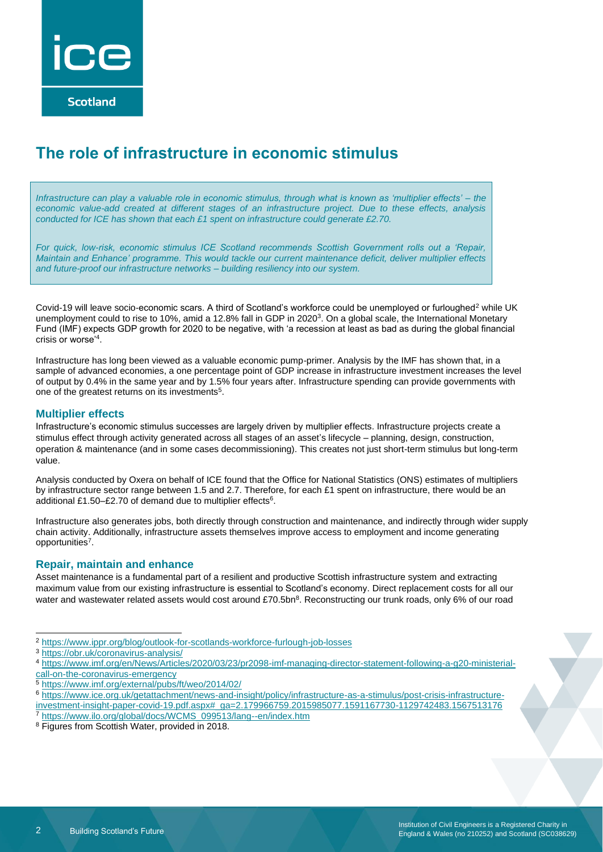

### **The role of infrastructure in economic stimulus**

*Infrastructure can play a valuable role in economic stimulus, through what is known as 'multiplier effects' – the economic value-add created at different stages of an infrastructure project. Due to these effects, analysis conducted for ICE has shown that each £1 spent on infrastructure could generate £2.70.* 

*For quick, low-risk, economic stimulus ICE Scotland recommends Scottish Government rolls out a 'Repair, Maintain and Enhance' programme. This would tackle our current maintenance deficit, deliver multiplier effects and future-proof our infrastructure networks – building resiliency into our system.* 

Covid-19 will leave socio-economic scars. A third of Scotland's workforce could be unemployed or furloughed<sup>2</sup> while UK unemployment could to rise to 10%, amid a 12.8% fall in GDP in 2020<sup>3</sup>. On a global scale, the International Monetary Fund (IMF) expects GDP growth for 2020 to be negative, with 'a recession at least as bad as during the global financial crisis or worse'<sup>4</sup> .

Infrastructure has long been viewed as a valuable economic pump-primer. Analysis by the IMF has shown that, in a sample of advanced economies, a one percentage point of GDP increase in infrastructure investment increases the level of output by 0.4% in the same year and by 1.5% four years after. Infrastructure spending can provide governments with one of the greatest returns on its investments<sup>5</sup>.

#### **Multiplier effects**

Infrastructure's economic stimulus successes are largely driven by multiplier effects. Infrastructure projects create a stimulus effect through activity generated across all stages of an asset's lifecycle – planning, design, construction, operation & maintenance (and in some cases decommissioning). This creates not just short-term stimulus but long-term value.

Analysis conducted by Oxera on behalf of ICE found that the Office for National Statistics (ONS) estimates of multipliers by infrastructure sector range between 1.5 and 2.7. Therefore, for each £1 spent on infrastructure, there would be an additional £1.50-£2.70 of demand due to multiplier effects<sup>6</sup>.

Infrastructure also generates jobs, both directly through construction and maintenance, and indirectly through wider supply chain activity. Additionally, infrastructure assets themselves improve access to employment and income generating opportunities<sup>7</sup>.

#### **Repair, maintain and enhance**

Asset maintenance is a fundamental part of a resilient and productive Scottish infrastructure system and extracting maximum value from our existing infrastructure is essential to Scotland's economy. Direct replacement costs for all our water and wastewater related assets would cost around £70.5bn<sup>8</sup>. Reconstructing our trunk roads, only 6% of our road

<sup>5</sup> <https://www.imf.org/external/pubs/ft/weo/2014/02/>

<sup>2</sup> <https://www.ippr.org/blog/outlook-for-scotlands-workforce-furlough-job-losses>

<sup>3</sup> <https://obr.uk/coronavirus-analysis/>

<sup>4</sup> [https://www.imf.org/en/News/Articles/2020/03/23/pr2098-imf-managing-director-statement-following-a-g20-ministerial](https://www.imf.org/en/News/Articles/2020/03/23/pr2098-imf-managing-director-statement-following-a-g20-ministerial-call-on-the-coronavirus-emergency)[call-on-the-coronavirus-emergency](https://www.imf.org/en/News/Articles/2020/03/23/pr2098-imf-managing-director-statement-following-a-g20-ministerial-call-on-the-coronavirus-emergency)

<sup>6</sup> [https://www.ice.org.uk/getattachment/news-and-insight/policy/infrastructure-as-a-stimulus/post-crisis-infrastructure-](https://www.ice.org.uk/getattachment/news-and-insight/policy/infrastructure-as-a-stimulus/post-crisis-infrastructure-investment-insight-paper-covid-19.pdf.aspx#_ga=2.179966759.2015985077.1591167730-1129742483.1567513176)

[investment-insight-paper-covid-19.pdf.aspx#\\_ga=2.179966759.2015985077.1591167730-1129742483.1567513176](https://www.ice.org.uk/getattachment/news-and-insight/policy/infrastructure-as-a-stimulus/post-crisis-infrastructure-investment-insight-paper-covid-19.pdf.aspx#_ga=2.179966759.2015985077.1591167730-1129742483.1567513176)

<sup>7</sup> [https://www.ilo.org/global/docs/WCMS\\_099513/lang--en/index.htm](https://www.ilo.org/global/docs/WCMS_099513/lang--en/index.htm)

<sup>8</sup> Figures from Scottish Water, provided in 2018.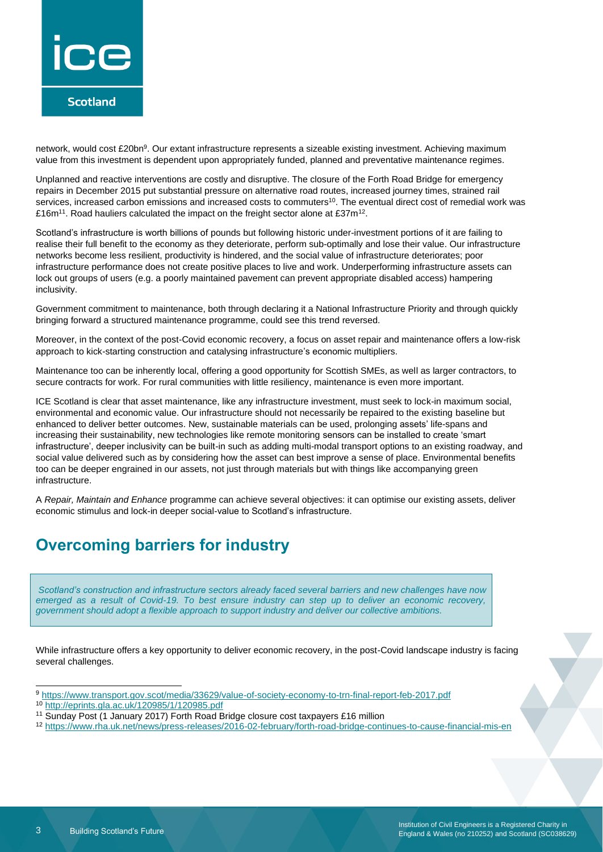

network, would cost £20bn<sup>9</sup>. Our extant infrastructure represents a sizeable existing investment. Achieving maximum value from this investment is dependent upon appropriately funded, planned and preventative maintenance regimes.

Unplanned and reactive interventions are costly and disruptive. The closure of the Forth Road Bridge for emergency repairs in December 2015 put substantial pressure on alternative road routes, increased journey times, strained rail services, increased carbon emissions and increased costs to commuters<sup>10</sup>. The eventual direct cost of remedial work was £16m<sup>11</sup>. Road hauliers calculated the impact on the freight sector alone at £37m<sup>12</sup>.

Scotland's infrastructure is worth billions of pounds but following historic under-investment portions of it are failing to realise their full benefit to the economy as they deteriorate, perform sub-optimally and lose their value. Our infrastructure networks become less resilient, productivity is hindered, and the social value of infrastructure deteriorates; poor infrastructure performance does not create positive places to live and work. Underperforming infrastructure assets can lock out groups of users (e.g. a poorly maintained pavement can prevent appropriate disabled access) hampering inclusivity.

Government commitment to maintenance, both through declaring it a National Infrastructure Priority and through quickly bringing forward a structured maintenance programme, could see this trend reversed.

Moreover, in the context of the post-Covid economic recovery, a focus on asset repair and maintenance offers a low-risk approach to kick-starting construction and catalysing infrastructure's economic multipliers.

Maintenance too can be inherently local, offering a good opportunity for Scottish SMEs, as well as larger contractors, to secure contracts for work. For rural communities with little resiliency, maintenance is even more important.

ICE Scotland is clear that asset maintenance, like any infrastructure investment, must seek to lock-in maximum social, environmental and economic value. Our infrastructure should not necessarily be repaired to the existing baseline but enhanced to deliver better outcomes. New, sustainable materials can be used, prolonging assets' life-spans and increasing their sustainability, new technologies like remote monitoring sensors can be installed to create 'smart infrastructure', deeper inclusivity can be built-in such as adding multi-modal transport options to an existing roadway, and social value delivered such as by considering how the asset can best improve a sense of place. Environmental benefits too can be deeper engrained in our assets, not just through materials but with things like accompanying green infrastructure.

A *Repair, Maintain and Enhance* programme can achieve several objectives: it can optimise our existing assets, deliver economic stimulus and lock-in deeper social-value to Scotland's infrastructure.

# **Overcoming barriers for industry**

*Scotland's construction and infrastructure sectors already faced several barriers and new challenges have now emerged as a result of Covid-19. To best ensure industry can step up to deliver an economic recovery, government should adopt a flexible approach to support industry and deliver our collective ambitions.* 

While infrastructure offers a key opportunity to deliver economic recovery, in the post-Covid landscape industry is facing several challenges.

<sup>9</sup> <https://www.transport.gov.scot/media/33629/value-of-society-economy-to-trn-final-report-feb-2017.pdf>

<sup>10</sup> <http://eprints.gla.ac.uk/120985/1/120985.pdf>

<sup>11</sup> Sunday Post (1 January 2017) Forth Road Bridge closure cost taxpayers £16 million

<sup>12</sup> <https://www.rha.uk.net/news/press-releases/2016-02-february/forth-road-bridge-continues-to-cause-financial-mis-en>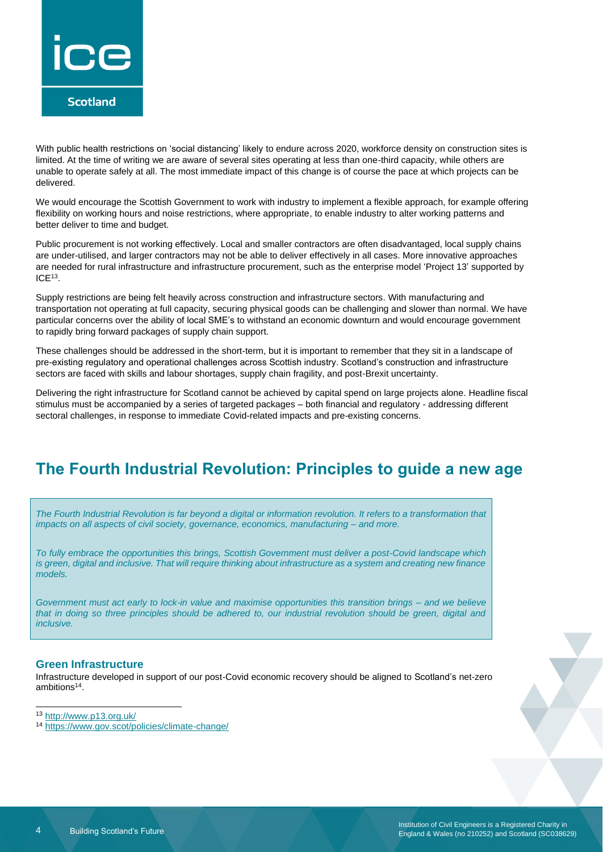

With public health restrictions on 'social distancing' likely to endure across 2020, workforce density on construction sites is limited. At the time of writing we are aware of several sites operating at less than one-third capacity, while others are unable to operate safely at all. The most immediate impact of this change is of course the pace at which projects can be delivered.

We would encourage the Scottish Government to work with industry to implement a flexible approach, for example offering flexibility on working hours and noise restrictions, where appropriate, to enable industry to alter working patterns and better deliver to time and budget.

Public procurement is not working effectively. Local and smaller contractors are often disadvantaged, local supply chains are under-utilised, and larger contractors may not be able to deliver effectively in all cases. More innovative approaches are needed for rural infrastructure and infrastructure procurement, such as the enterprise model 'Project 13' supported by  $ICE<sup>13</sup>$ .

Supply restrictions are being felt heavily across construction and infrastructure sectors. With manufacturing and transportation not operating at full capacity, securing physical goods can be challenging and slower than normal. We have particular concerns over the ability of local SME's to withstand an economic downturn and would encourage government to rapidly bring forward packages of supply chain support.

These challenges should be addressed in the short-term, but it is important to remember that they sit in a landscape of pre-existing regulatory and operational challenges across Scottish industry. Scotland's construction and infrastructure sectors are faced with skills and labour shortages, supply chain fragility, and post-Brexit uncertainty.

Delivering the right infrastructure for Scotland cannot be achieved by capital spend on large projects alone. Headline fiscal stimulus must be accompanied by a series of targeted packages – both financial and regulatory - addressing different sectoral challenges, in response to immediate Covid-related impacts and pre-existing concerns.

### **The Fourth Industrial Revolution: Principles to guide a new age**

*The Fourth Industrial Revolution is far beyond a digital or information revolution. It refers to a transformation that impacts on all aspects of civil society, governance, economics, manufacturing – and more.* 

*To fully embrace the opportunities this brings, Scottish Government must deliver a post-Covid landscape which is green, digital and inclusive. That will require thinking about infrastructure as a system and creating new finance models.* 

*Government must act early to lock-in value and maximise opportunities this transition brings – and we believe that in doing so three principles should be adhered to, our industrial revolution should be green, digital and inclusive.* 

#### **Green Infrastructure**

Infrastructure developed in support of our post-Covid economic recovery should be aligned to Scotland's net-zero ambitions<sup>14</sup>.

<sup>13</sup> <http://www.p13.org.uk/>

<sup>14</sup> <https://www.gov.scot/policies/climate-change/>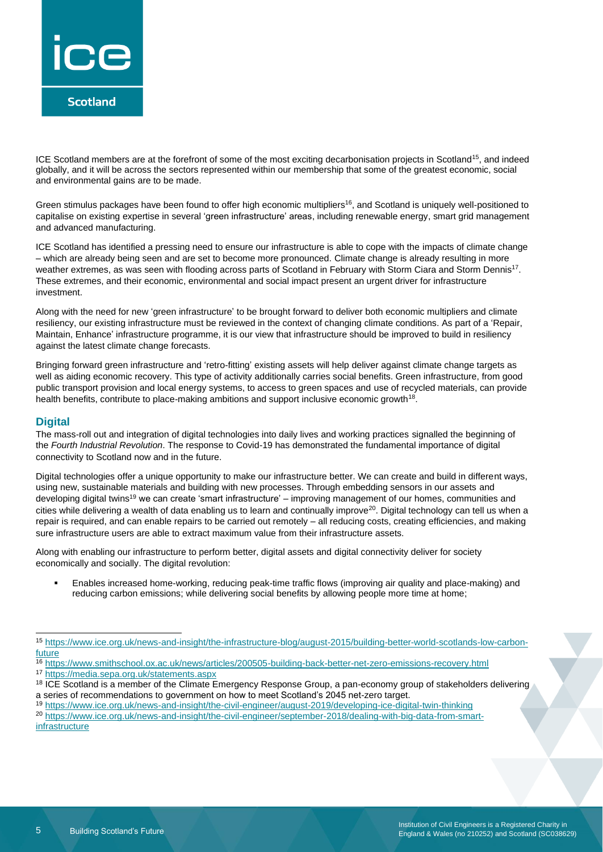

ICE Scotland members are at the forefront of some of the most exciting decarbonisation projects in Scotland<sup>15</sup>, and indeed globally, and it will be across the sectors represented within our membership that some of the greatest economic, social and environmental gains are to be made.

Green stimulus packages have been found to offer high economic multipliers<sup>16</sup>, and Scotland is uniquely well-positioned to capitalise on existing expertise in several 'green infrastructure' areas, including renewable energy, smart grid management and advanced manufacturing.

ICE Scotland has identified a pressing need to ensure our infrastructure is able to cope with the impacts of climate change – which are already being seen and are set to become more pronounced. Climate change is already resulting in more weather extremes, as was seen with flooding across parts of Scotland in February with Storm Ciara and Storm Dennis<sup>17</sup>. These extremes, and their economic, environmental and social impact present an urgent driver for infrastructure investment.

Along with the need for new 'green infrastructure' to be brought forward to deliver both economic multipliers and climate resiliency, our existing infrastructure must be reviewed in the context of changing climate conditions. As part of a 'Repair, Maintain, Enhance' infrastructure programme, it is our view that infrastructure should be improved to build in resiliency against the latest climate change forecasts.

Bringing forward green infrastructure and 'retro-fitting' existing assets will help deliver against climate change targets as well as aiding economic recovery. This type of activity additionally carries social benefits. Green infrastructure, from good public transport provision and local energy systems, to access to green spaces and use of recycled materials, can provide health benefits, contribute to place-making ambitions and support inclusive economic growth<sup>18</sup>.

#### **Digital**

The mass-roll out and integration of digital technologies into daily lives and working practices signalled the beginning of the *Fourth Industrial Revolution*. The response to Covid-19 has demonstrated the fundamental importance of digital connectivity to Scotland now and in the future.

Digital technologies offer a unique opportunity to make our infrastructure better. We can create and build in different ways, using new, sustainable materials and building with new processes. Through embedding sensors in our assets and developing digital twins<sup>19</sup> we can create 'smart infrastructure' – improving management of our homes, communities and cities while delivering a wealth of data enabling us to learn and continually improve<sup>20</sup>. Digital technology can tell us when a repair is required, and can enable repairs to be carried out remotely – all reducing costs, creating efficiencies, and making sure infrastructure users are able to extract maximum value from their infrastructure assets.

Along with enabling our infrastructure to perform better, digital assets and digital connectivity deliver for society economically and socially. The digital revolution:

Enables increased home-working, reducing peak-time traffic flows (improving air quality and place-making) and reducing carbon emissions; while delivering social benefits by allowing people more time at home;

<sup>19</sup> <https://www.ice.org.uk/news-and-insight/the-civil-engineer/august-2019/developing-ice-digital-twin-thinking>

<sup>20</sup> [https://www.ice.org.uk/news-and-insight/the-civil-engineer/september-2018/dealing-with-big-data-from-smart](https://www.ice.org.uk/news-and-insight/the-civil-engineer/september-2018/dealing-with-big-data-from-smart-infrastructure)**[infrastructure](https://www.ice.org.uk/news-and-insight/the-civil-engineer/september-2018/dealing-with-big-data-from-smart-infrastructure)** 

<sup>15</sup> [https://www.ice.org.uk/news-and-insight/the-infrastructure-blog/august-2015/building-better-world-scotlands-low-carbon](https://www.ice.org.uk/news-and-insight/the-infrastructure-blog/august-2015/building-better-world-scotlands-low-carbon-future)[future](https://www.ice.org.uk/news-and-insight/the-infrastructure-blog/august-2015/building-better-world-scotlands-low-carbon-future)

<sup>16</sup> <https://www.smithschool.ox.ac.uk/news/articles/200505-building-back-better-net-zero-emissions-recovery.html> <sup>17</sup> <https://media.sepa.org.uk/statements.aspx>

<sup>&</sup>lt;sup>18</sup> ICE Scotland is a member of the Climate Emergency Response Group, a pan-economy group of stakeholders delivering a series of recommendations to government on how to meet Scotland's 2045 net-zero target.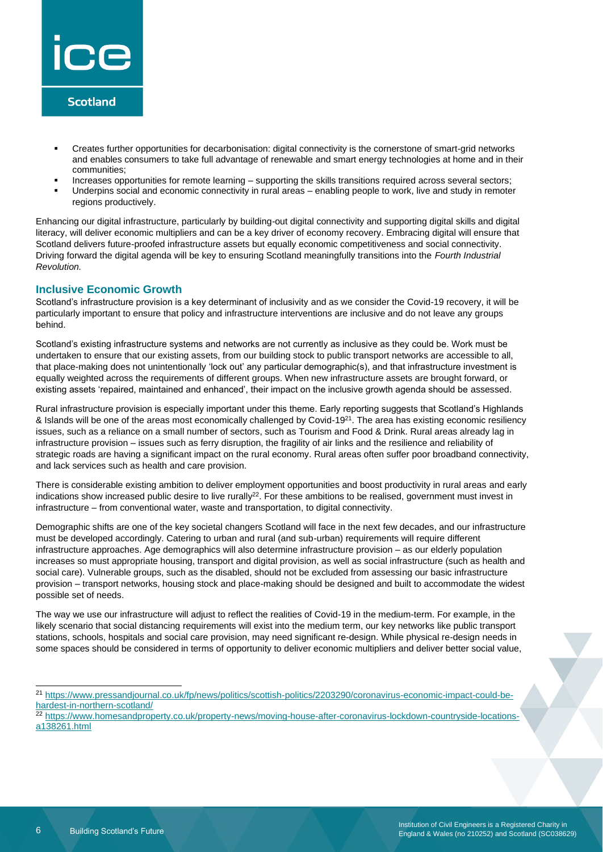

- Creates further opportunities for decarbonisation: digital connectivity is the cornerstone of smart-grid networks and enables consumers to take full advantage of renewable and smart energy technologies at home and in their communities;
- Increases opportunities for remote learning supporting the skills transitions required across several sectors;
- Underpins social and economic connectivity in rural areas enabling people to work, live and study in remoter regions productively.

Enhancing our digital infrastructure, particularly by building-out digital connectivity and supporting digital skills and digital literacy, will deliver economic multipliers and can be a key driver of economy recovery. Embracing digital will ensure that Scotland delivers future-proofed infrastructure assets but equally economic competitiveness and social connectivity. Driving forward the digital agenda will be key to ensuring Scotland meaningfully transitions into the *Fourth Industrial Revolution.* 

#### **Inclusive Economic Growth**

Scotland's infrastructure provision is a key determinant of inclusivity and as we consider the Covid-19 recovery, it will be particularly important to ensure that policy and infrastructure interventions are inclusive and do not leave any groups behind.

Scotland's existing infrastructure systems and networks are not currently as inclusive as they could be. Work must be undertaken to ensure that our existing assets, from our building stock to public transport networks are accessible to all, that place-making does not unintentionally 'lock out' any particular demographic(s), and that infrastructure investment is equally weighted across the requirements of different groups. When new infrastructure assets are brought forward, or existing assets 'repaired, maintained and enhanced', their impact on the inclusive growth agenda should be assessed.

Rural infrastructure provision is especially important under this theme. Early reporting suggests that Scotland's Highlands & Islands will be one of the areas most economically challenged by Covid-19<sup>21</sup>. The area has existing economic resiliency issues, such as a reliance on a small number of sectors, such as Tourism and Food & Drink. Rural areas already lag in infrastructure provision – issues such as ferry disruption, the fragility of air links and the resilience and reliability of strategic roads are having a significant impact on the rural economy. Rural areas often suffer poor broadband connectivity, and lack services such as health and care provision.

There is considerable existing ambition to deliver employment opportunities and boost productivity in rural areas and early indications show increased public desire to live rurally<sup>22</sup>. For these ambitions to be realised, government must invest in infrastructure – from conventional water, waste and transportation, to digital connectivity.

Demographic shifts are one of the key societal changers Scotland will face in the next few decades, and our infrastructure must be developed accordingly. Catering to urban and rural (and sub-urban) requirements will require different infrastructure approaches. Age demographics will also determine infrastructure provision – as our elderly population increases so must appropriate housing, transport and digital provision, as well as social infrastructure (such as health and social care). Vulnerable groups, such as the disabled, should not be excluded from assessing our basic infrastructure provision – transport networks, housing stock and place-making should be designed and built to accommodate the widest possible set of needs.

The way we use our infrastructure will adjust to reflect the realities of Covid-19 in the medium-term. For example, in the likely scenario that social distancing requirements will exist into the medium term, our key networks like public transport stations, schools, hospitals and social care provision, may need significant re-design. While physical re-design needs in some spaces should be considered in terms of opportunity to deliver economic multipliers and deliver better social value,

<sup>21</sup> [https://www.pressandjournal.co.uk/fp/news/politics/scottish-politics/2203290/coronavirus-economic-impact-could-be](https://www.pressandjournal.co.uk/fp/news/politics/scottish-politics/2203290/coronavirus-economic-impact-could-be-hardest-in-northern-scotland/)[hardest-in-northern-scotland/](https://www.pressandjournal.co.uk/fp/news/politics/scottish-politics/2203290/coronavirus-economic-impact-could-be-hardest-in-northern-scotland/)

<sup>22</sup> [https://www.homesandproperty.co.uk/property-news/moving-house-after-coronavirus-lockdown-countryside-locations](https://www.homesandproperty.co.uk/property-news/moving-house-after-coronavirus-lockdown-countryside-locations-a138261.html)[a138261.html](https://www.homesandproperty.co.uk/property-news/moving-house-after-coronavirus-lockdown-countryside-locations-a138261.html)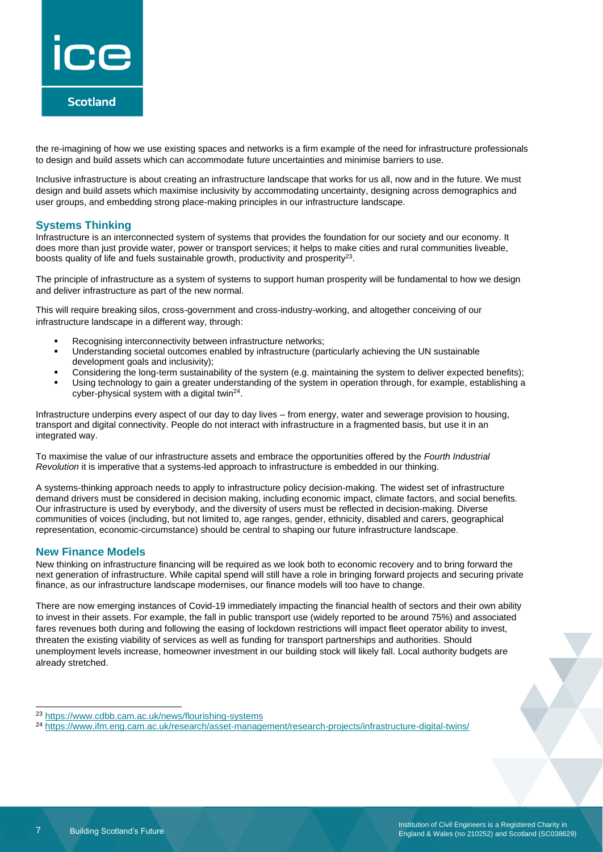

the re-imagining of how we use existing spaces and networks is a firm example of the need for infrastructure professionals to design and build assets which can accommodate future uncertainties and minimise barriers to use.

Inclusive infrastructure is about creating an infrastructure landscape that works for us all, now and in the future. We must design and build assets which maximise inclusivity by accommodating uncertainty, designing across demographics and user groups, and embedding strong place-making principles in our infrastructure landscape.

#### **Systems Thinking**

Infrastructure is an interconnected system of systems that provides the foundation for our society and our economy. It does more than just provide water, power or transport services; it helps to make cities and rural communities liveable, boosts quality of life and fuels sustainable growth, productivity and prosperity $^{23}$ .

The principle of infrastructure as a system of systems to support human prosperity will be fundamental to how we design and deliver infrastructure as part of the new normal.

This will require breaking silos, cross-government and cross-industry-working, and altogether conceiving of our infrastructure landscape in a different way, through:

- Recognising interconnectivity between infrastructure networks;
- Understanding societal outcomes enabled by infrastructure (particularly achieving the UN sustainable development goals and inclusivity);
- Considering the long-term sustainability of the system (e.g. maintaining the system to deliver expected benefits);
- Using technology to gain a greater understanding of the system in operation through, for example, establishing a cyber-physical system with a digital twin<sup>24</sup>.

Infrastructure underpins every aspect of our day to day lives – from energy, water and sewerage provision to housing, transport and digital connectivity. People do not interact with infrastructure in a fragmented basis, but use it in an integrated way.

To maximise the value of our infrastructure assets and embrace the opportunities offered by the *Fourth Industrial Revolution* it is imperative that a systems-led approach to infrastructure is embedded in our thinking.

A systems-thinking approach needs to apply to infrastructure policy decision-making. The widest set of infrastructure demand drivers must be considered in decision making, including economic impact, climate factors, and social benefits. Our infrastructure is used by everybody, and the diversity of users must be reflected in decision-making. Diverse communities of voices (including, but not limited to, age ranges, gender, ethnicity, disabled and carers, geographical representation, economic-circumstance) should be central to shaping our future infrastructure landscape.

#### **New Finance Models**

New thinking on infrastructure financing will be required as we look both to economic recovery and to bring forward the next generation of infrastructure. While capital spend will still have a role in bringing forward projects and securing private finance, as our infrastructure landscape modernises, our finance models will too have to change.

There are now emerging instances of Covid-19 immediately impacting the financial health of sectors and their own ability to invest in their assets. For example, the fall in public transport use (widely reported to be around 75%) and associated fares revenues both during and following the easing of lockdown restrictions will impact fleet operator ability to invest, threaten the existing viability of services as well as funding for transport partnerships and authorities. Should unemployment levels increase, homeowner investment in our building stock will likely fall. Local authority budgets are already stretched.

<sup>23</sup> <https://www.cdbb.cam.ac.uk/news/flourishing-systems>

<sup>24</sup> <https://www.ifm.eng.cam.ac.uk/research/asset-management/research-projects/infrastructure-digital-twins/>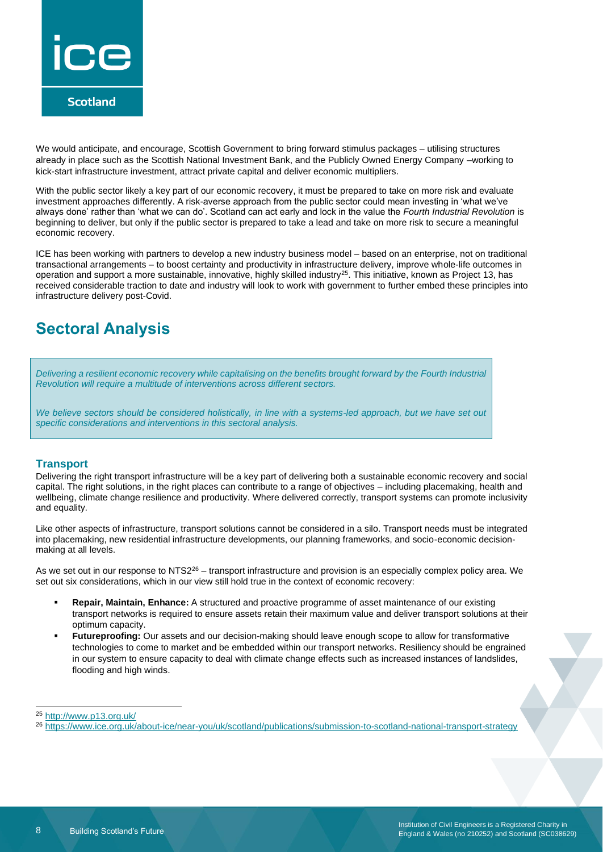

We would anticipate, and encourage, Scottish Government to bring forward stimulus packages – utilising structures already in place such as the Scottish National Investment Bank, and the Publicly Owned Energy Company –working to kick-start infrastructure investment, attract private capital and deliver economic multipliers.

With the public sector likely a key part of our economic recovery, it must be prepared to take on more risk and evaluate investment approaches differently. A risk-averse approach from the public sector could mean investing in 'what we've always done' rather than 'what we can do'. Scotland can act early and lock in the value the *Fourth Industrial Revolution* is beginning to deliver, but only if the public sector is prepared to take a lead and take on more risk to secure a meaningful economic recovery.

ICE has been working with partners to develop a new industry business model – based on an enterprise, not on traditional transactional arrangements – to boost certainty and productivity in infrastructure delivery, improve whole-life outcomes in operation and support a more sustainable, innovative, highly skilled industry<sup>25</sup>. This initiative, known as Project 13, has received considerable traction to date and industry will look to work with government to further embed these principles into infrastructure delivery post-Covid.

# **Sectoral Analysis**

*Delivering a resilient economic recovery while capitalising on the benefits brought forward by the Fourth Industrial Revolution will require a multitude of interventions across different sectors.* 

*We believe sectors should be considered holistically, in line with a systems-led approach, but we have set out specific considerations and interventions in this sectoral analysis.* 

#### **Transport**

Delivering the right transport infrastructure will be a key part of delivering both a sustainable economic recovery and social capital. The right solutions, in the right places can contribute to a range of objectives – including placemaking, health and wellbeing, climate change resilience and productivity. Where delivered correctly, transport systems can promote inclusivity and equality.

Like other aspects of infrastructure, transport solutions cannot be considered in a silo. Transport needs must be integrated into placemaking, new residential infrastructure developments, our planning frameworks, and socio-economic decisionmaking at all levels.

As we set out in our response to NTS2<sup>26</sup> – transport infrastructure and provision is an especially complex policy area. We set out six considerations, which in our view still hold true in the context of economic recovery:

- **Repair, Maintain, Enhance:** A structured and proactive programme of asset maintenance of our existing transport networks is required to ensure assets retain their maximum value and deliver transport solutions at their optimum capacity.
- **Futureproofing:** Our assets and our decision-making should leave enough scope to allow for transformative technologies to come to market and be embedded within our transport networks. Resiliency should be engrained in our system to ensure capacity to deal with climate change effects such as increased instances of landslides, flooding and high winds.

<sup>25</sup> <http://www.p13.org.uk/>

<sup>26</sup> <https://www.ice.org.uk/about-ice/near-you/uk/scotland/publications/submission-to-scotland-national-transport-strategy>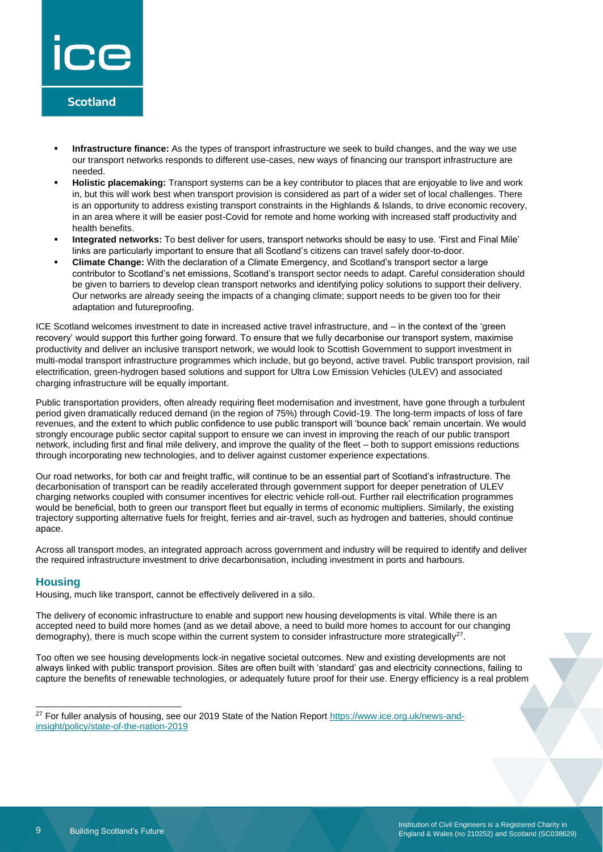

- Infrastructure finance: As the types of transport infrastructure we seek to build changes, and the way we use our transport networks responds to different use-cases, new ways of financing our transport infrastructure are needed.
- **Holistic placemaking:** Transport systems can be a key contributor to places that are enjoyable to live and work in, but this will work best when transport provision is considered as part of a wider set of local challenges. There is an opportunity to address existing transport constraints in the Highlands & Islands, to drive economic recovery, in an area where it will be easier post-Covid for remote and home working with increased staff productivity and health benefits.
- **Integrated networks:** To best deliver for users, transport networks should be easy to use. 'First and Final Mile' links are particularly important to ensure that all Scotland's citizens can travel safely door-to-door.
- **Climate Change:** With the declaration of a Climate Emergency, and Scotland's transport sector a large contributor to Scotland's net emissions, Scotland's transport sector needs to adapt. Careful consideration should be given to barriers to develop clean transport networks and identifying policy solutions to support their delivery. Our networks are already seeing the impacts of a changing climate; support needs to be given too for their adaptation and futureproofing.

ICE Scotland welcomes investment to date in increased active travel infrastructure, and – in the context of the 'green recovery' would support this further going forward. To ensure that we fully decarbonise our transport system, maximise productivity and deliver an inclusive transport network, we would look to Scottish Government to support investment in multi-modal transport infrastructure programmes which include, but go beyond, active travel. Public transport provision, rail electrification, green-hydrogen based solutions and support for Ultra Low Emission Vehicles (ULEV) and associated charging infrastructure will be equally important.

Public transportation providers, often already requiring fleet modernisation and investment, have gone through a turbulent period given dramatically reduced demand (in the region of 75%) through Covid-19. The long-term impacts of loss of fare revenues, and the extent to which public confidence to use public transport will 'bounce back' remain uncertain. We would strongly encourage public sector capital support to ensure we can invest in improving the reach of our public transport network, including first and final mile delivery, and improve the quality of the fleet – both to support emissions reductions through incorporating new technologies, and to deliver against customer experience expectations.

Our road networks, for both car and freight traffic, will continue to be an essential part of Scotland's infrastructure. The decarbonisation of transport can be readily accelerated through government support for deeper penetration of ULEV charging networks coupled with consumer incentives for electric vehicle roll-out. Further rail electrification programmes would be beneficial, both to green our transport fleet but equally in terms of economic multipliers. Similarly, the existing trajectory supporting alternative fuels for freight, ferries and air-travel, such as hydrogen and batteries, should continue apace.

Across all transport modes, an integrated approach across government and industry will be required to identify and deliver the required infrastructure investment to drive decarbonisation, including investment in ports and harbours.

#### **Housing**

Housing, much like transport, cannot be effectively delivered in a silo.

The delivery of economic infrastructure to enable and support new housing developments is vital. While there is an accepted need to build more homes (and as we detail above, a need to build more homes to account for our changing demography), there is much scope within the current system to consider infrastructure more strategically<sup>27</sup>.

Too often we see housing developments lock-in negative societal outcomes. New and existing developments are not always linked with public transport provision. Sites are often built with 'standard' gas and electricity connections, failing to capture the benefits of renewable technologies, or adequately future proof for their use. Energy efficiency is a real problem

<sup>&</sup>lt;sup>27</sup> For fuller analysis of housing, see our 2019 State of the Nation Report [https://www.ice.org.uk/news-and](https://www.ice.org.uk/news-and-insight/policy/state-of-the-nation-2019)[insight/policy/state-of-the-nation-2019](https://www.ice.org.uk/news-and-insight/policy/state-of-the-nation-2019)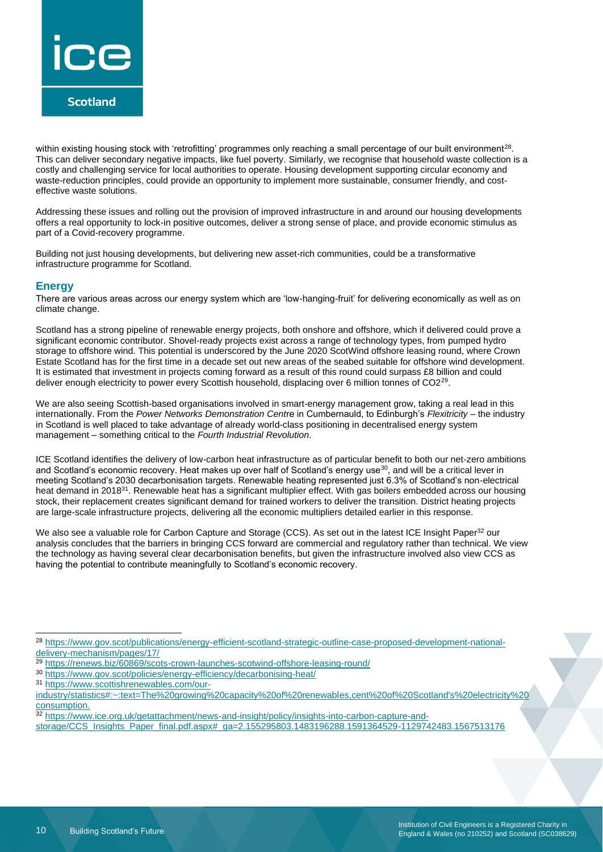

within existing housing stock with 'retrofitting' programmes only reaching a small percentage of our built environment $^{28}$ . This can deliver secondary negative impacts, like fuel poverty. Similarly, we recognise that household waste collection is a costly and challenging service for local authorities to operate. Housing development supporting circular economy and waste-reduction principles, could provide an opportunity to implement more sustainable, consumer friendly, and costeffective waste solutions.

Addressing these issues and rolling out the provision of improved infrastructure in and around our housing developments offers a real opportunity to lock-in positive outcomes, deliver a strong sense of place, and provide economic stimulus as part of a Covid-recovery programme.

Building not just housing developments, but delivering new asset-rich communities, could be a transformative infrastructure programme for Scotland.

#### **Energy**

There are various areas across our energy system which are 'low-hanging-fruit' for delivering economically as well as on climate change.

Scotland has a strong pipeline of renewable energy projects, both onshore and offshore, which if delivered could prove a significant economic contributor. Shovel-ready projects exist across a range of technology types, from pumped hydro storage to offshore wind. This potential is underscored by the June 2020 ScotWind offshore leasing round, where Crown Estate Scotland has for the first time in a decade set out new areas of the seabed suitable for offshore wind development. It is estimated that investment in projects coming forward as a result of this round could surpass £8 billion and could deliver enough electricity to power every Scottish household, displacing over 6 million tonnes of CO2<sup>29</sup>.

We are also seeing Scottish-based organisations involved in smart-energy management grow, taking a real lead in this internationally. From the *Power Networks Demonstration Cent*re in Cumbernauld, to Edinburgh's *Flexitricity* – the industry in Scotland is well placed to take advantage of already world-class positioning in decentralised energy system management – something critical to the *Fourth Industrial Revolution*.

ICE Scotland identifies the delivery of low-carbon heat infrastructure as of particular benefit to both our net-zero ambitions and Scotland's economic recovery. Heat makes up over half of Scotland's energy use<sup>30</sup>, and will be a critical lever in meeting Scotland's 2030 decarbonisation targets. Renewable heating represented just 6.3% of Scotland's non-electrical heat demand in 2018<sup>31</sup>. Renewable heat has a significant multiplier effect. With gas boilers embedded across our housing stock, their replacement creates significant demand for trained workers to deliver the transition. District heating projects are large-scale infrastructure projects, delivering all the economic multipliers detailed earlier in this response.

We also see a valuable role for Carbon Capture and Storage (CCS). As set out in the latest ICE Insight Paper<sup>32</sup> our analysis concludes that the barriers in bringing CCS forward are commercial and regulatory rather than technical. We view the technology as having several clear decarbonisation benefits, but given the infrastructure involved also view CCS as having the potential to contribute meaningfully to Scotland's economic recovery.

- 29 <https://renews.biz/60869/scots-crown-launches-scotwind-offshore-leasing-round/>
- <sup>30</sup> <https://www.gov.scot/policies/energy-efficiency/decarbonising-heat/>
- <sup>31</sup> [https://www.scottishrenewables.com/our-](https://www.scottishrenewables.com/our-industry/statistics#:~:text=The%20growing%20capacity%20of%20renewables,cent%20of%20Scotland)

32 [https://www.ice.org.uk/getattachment/news-and-insight/policy/insights-into-carbon-capture-and-](https://www.ice.org.uk/getattachment/news-and-insight/policy/insights-into-carbon-capture-and-storage/CCS_Insights_Paper_final.pdf.aspx#_ga=2.155295803.1483196288.1591364529-1129742483.1567513176)

[storage/CCS\\_Insights\\_Paper\\_final.pdf.aspx#\\_ga=2.155295803.1483196288.1591364529-1129742483.1567513176](https://www.ice.org.uk/getattachment/news-and-insight/policy/insights-into-carbon-capture-and-storage/CCS_Insights_Paper_final.pdf.aspx#_ga=2.155295803.1483196288.1591364529-1129742483.1567513176)

<sup>28</sup> [https://www.gov.scot/publications/energy-efficient-scotland-strategic-outline-case-proposed-development-national](https://www.gov.scot/publications/energy-efficient-scotland-strategic-outline-case-proposed-development-national-delivery-mechanism/pages/17/)[delivery-mechanism/pages/17/](https://www.gov.scot/publications/energy-efficient-scotland-strategic-outline-case-proposed-development-national-delivery-mechanism/pages/17/)

[industry/statistics#:~:text=The%20growing%20capacity%20of%20renewables,cent%20of%20Scotland's%20electricity%20](https://www.scottishrenewables.com/our-industry/statistics#:~:text=The%20growing%20capacity%20of%20renewables,cent%20of%20Scotland) [consumption.](https://www.scottishrenewables.com/our-industry/statistics#:~:text=The%20growing%20capacity%20of%20renewables,cent%20of%20Scotland)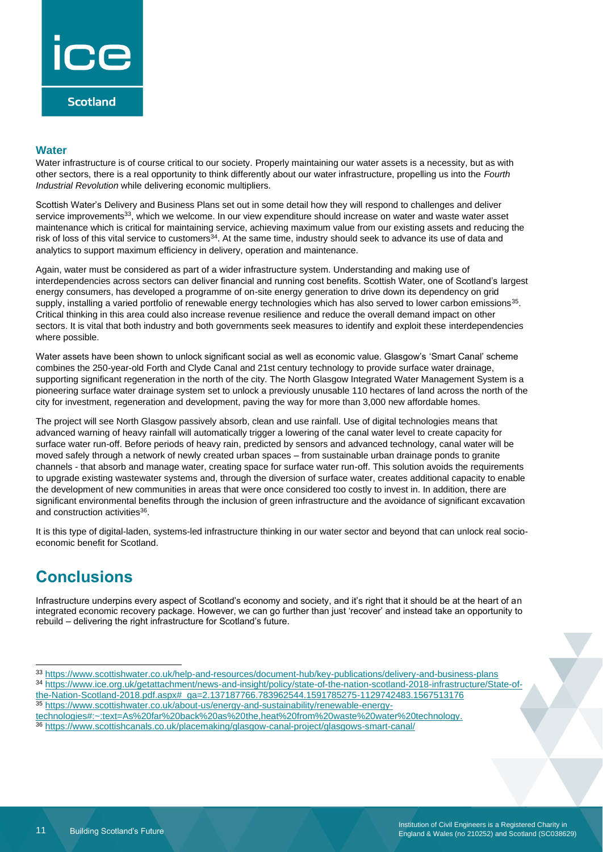

#### **Water**

Water infrastructure is of course critical to our society. Properly maintaining our water assets is a necessity, but as with other sectors, there is a real opportunity to think differently about our water infrastructure, propelling us into the *Fourth Industrial Revolution* while delivering economic multipliers.

Scottish Water's Delivery and Business Plans set out in some detail how they will respond to challenges and deliver service improvements<sup>33</sup>, which we welcome. In our view expenditure should increase on water and waste water asset maintenance which is critical for maintaining service, achieving maximum value from our existing assets and reducing the risk of loss of this vital service to customers<sup>34</sup>. At the same time, industry should seek to advance its use of data and analytics to support maximum efficiency in delivery, operation and maintenance.

Again, water must be considered as part of a wider infrastructure system. Understanding and making use of interdependencies across sectors can deliver financial and running cost benefits. Scottish Water, one of Scotland's largest energy consumers, has developed a programme of on-site energy generation to drive down its dependency on grid supply, installing a varied portfolio of renewable energy technologies which has also served to lower carbon emissions<sup>35</sup>. Critical thinking in this area could also increase revenue resilience and reduce the overall demand impact on other sectors. It is vital that both industry and both governments seek measures to identify and exploit these interdependencies where possible.

Water assets have been shown to unlock significant social as well as economic value. Glasgow's 'Smart Canal' scheme combines the 250-year-old Forth and Clyde Canal and 21st century technology to provide surface water drainage, supporting significant regeneration in the north of the city. The North Glasgow Integrated Water Management System is a pioneering surface water drainage system set to unlock a previously unusable 110 hectares of land across the north of the city for investment, regeneration and development, paving the way for more than 3,000 new affordable homes.

The project will see North Glasgow passively absorb, clean and use rainfall. Use of digital technologies means that advanced warning of heavy rainfall will automatically trigger a lowering of the canal water level to create capacity for surface water run-off. Before periods of heavy rain, predicted by sensors and advanced technology, canal water will be moved safely through a network of newly created urban spaces – from sustainable urban drainage ponds to granite channels - that absorb and manage water, creating space for surface water run-off. This solution avoids the requirements to upgrade existing wastewater systems and, through the diversion of surface water, creates additional capacity to enable the development of new communities in areas that were once considered too costly to invest in. In addition, there are significant environmental benefits through the inclusion of green infrastructure and the avoidance of significant excavation and construction activities<sup>36</sup>.

It is this type of digital-laden, systems-led infrastructure thinking in our water sector and beyond that can unlock real socioeconomic benefit for Scotland.

### **Conclusions**

Infrastructure underpins every aspect of Scotland's economy and society, and it's right that it should be at the heart of an integrated economic recovery package. However, we can go further than just 'recover' and instead take an opportunity to rebuild – delivering the right infrastructure for Scotland's future.

<sup>34</sup> [https://www.ice.org.uk/getattachment/news-and-insight/policy/state-of-the-nation-scotland-2018-infrastructure/State-of](https://www.ice.org.uk/getattachment/news-and-insight/policy/state-of-the-nation-scotland-2018-infrastructure/State-of-the-Nation-Scotland-2018.pdf.aspx#_ga=2.137187766.783962544.1591785275-1129742483.1567513176)[the-Nation-Scotland-2018.pdf.aspx#\\_ga=2.137187766.783962544.1591785275-1129742483.1567513176](https://www.ice.org.uk/getattachment/news-and-insight/policy/state-of-the-nation-scotland-2018-infrastructure/State-of-the-Nation-Scotland-2018.pdf.aspx#_ga=2.137187766.783962544.1591785275-1129742483.1567513176)

<sup>33</sup> <https://www.scottishwater.co.uk/help-and-resources/document-hub/key-publications/delivery-and-business-plans>

<sup>35</sup> [https://www.scottishwater.co.uk/about-us/energy-and-sustainability/renewable-energy-](https://www.scottishwater.co.uk/about-us/energy-and-sustainability/renewable-energy-technologies#:~:text=As%20far%20back%20as%20the,heat%20from%20waste%20water%20technology.)

[technologies#:~:text=As%20far%20back%20as%20the,heat%20from%20waste%20water%20technology.](https://www.scottishwater.co.uk/about-us/energy-and-sustainability/renewable-energy-technologies#:~:text=As%20far%20back%20as%20the,heat%20from%20waste%20water%20technology.)

<sup>36</sup> <https://www.scottishcanals.co.uk/placemaking/glasgow-canal-project/glasgows-smart-canal/>